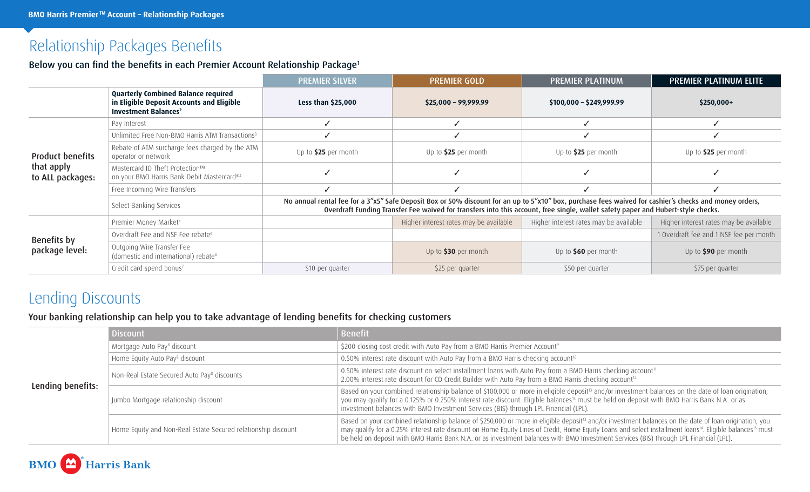## Relationship Packages Benefits

Below you can find the benefits in each Premier Account Relationship Package1

|                                                           |                                                                                                                                   | <b>PREMIER SILVER</b>                                                                                                                                                                                                                                                                      | <b>PREMIER GOLD</b>                    | <b>PREMIER PLATINUM</b>                | <b>PREMIER PLATINUM ELITE</b>           |
|-----------------------------------------------------------|-----------------------------------------------------------------------------------------------------------------------------------|--------------------------------------------------------------------------------------------------------------------------------------------------------------------------------------------------------------------------------------------------------------------------------------------|----------------------------------------|----------------------------------------|-----------------------------------------|
|                                                           | <b>Quarterly Combined Balance required</b><br>in Eligible Deposit Accounts and Eligible<br><b>Investment Balances<sup>2</sup></b> | Less than \$25,000                                                                                                                                                                                                                                                                         | $$25,000 - 99,999.99$                  | $$100,000 - $249,999.99$               | $$250,000+$                             |
| <b>Product benefits</b><br>that apply<br>to ALL packages: | Pay Interest                                                                                                                      |                                                                                                                                                                                                                                                                                            |                                        |                                        |                                         |
|                                                           | Unlimited Free Non-BMO Harris ATM Transactions <sup>3</sup>                                                                       |                                                                                                                                                                                                                                                                                            |                                        |                                        |                                         |
|                                                           | Rebate of ATM surcharge fees charged by the ATM<br>operator or network                                                            | Up to \$25 per month                                                                                                                                                                                                                                                                       | Up to $$25$ per month                  | Up to \$25 per month                   | Up to \$25 per month                    |
|                                                           | Mastercard ID Theft Protection™<br>on your BMO Harris Bank Debit Mastercard®4                                                     |                                                                                                                                                                                                                                                                                            |                                        |                                        |                                         |
|                                                           | Free Incoming Wire Transfers                                                                                                      |                                                                                                                                                                                                                                                                                            |                                        |                                        |                                         |
|                                                           | Select Banking Services                                                                                                           | No annual rental fee for a 3"x5" Safe Deposit Box or 50% discount for an up to 5"x10" box, purchase fees waived for cashier's checks and money orders,<br>Overdraft Funding Transfer Fee waived for transfers into this account, free single, wallet safety paper and Hubert-style checks. |                                        |                                        |                                         |
| Benefits by<br>package level:                             | Premier Money Market <sup>5</sup>                                                                                                 |                                                                                                                                                                                                                                                                                            | Higher interest rates may be available | Higher interest rates may be available | Higher interest rates may be available  |
|                                                           | Overdraft Fee and NSF Fee rebate <sup>6</sup>                                                                                     |                                                                                                                                                                                                                                                                                            |                                        |                                        | 1 Overdraft fee and 1 NSF fee per month |
|                                                           | Outgoing Wire Transfer Fee<br>(domestic and international) rebate <sup>6</sup>                                                    |                                                                                                                                                                                                                                                                                            | Up to \$30 per month                   | Up to \$60 per month                   | Up to \$90 per month                    |
|                                                           | Credit card spend bonus7                                                                                                          | \$10 per quarter                                                                                                                                                                                                                                                                           | \$25 per quarter                       | \$50 per quarter                       | \$75 per quarter                        |

## Lending Discounts

Your banking relationship can help you to take advantage of lending benefits for checking customers

| Lending benefits: | <b>Discount</b>                                               | <b>Benefit</b>                                                                                                                                                                                                                                                                                                                                                                                                                                                                                     |
|-------------------|---------------------------------------------------------------|----------------------------------------------------------------------------------------------------------------------------------------------------------------------------------------------------------------------------------------------------------------------------------------------------------------------------------------------------------------------------------------------------------------------------------------------------------------------------------------------------|
|                   | Mortgage Auto Pay <sup>8</sup> discount                       | \$200 closing cost credit with Auto Pay from a BMO Harris Premier Account <sup>9</sup>                                                                                                                                                                                                                                                                                                                                                                                                             |
|                   | Home Equity Auto Pay <sup>8</sup> discount                    | 0.50% interest rate discount with Auto Pay from a BMO Harris checking account <sup>10</sup>                                                                                                                                                                                                                                                                                                                                                                                                        |
|                   | Non-Real Estate Secured Auto Pay <sup>8</sup> discounts       | 0.50% interest rate discount on select installment loans with Auto Pay from a BMO Harris checking account <sup>11</sup><br>2.00% interest rate discount for CD Credit Builder with Auto Pay from a BMO Harris checking account <sup>12</sup>                                                                                                                                                                                                                                                       |
|                   | Jumbo Mortgage relationship discount                          | Based on your combined relationship balance of \$100,000 or more in eligible deposit <sup>13</sup> and/or investment balances on the date of loan origination,<br>you may qualify for a 0.125% or 0.250% interest rate discount. Eligible balances <sup>13</sup> must be held on deposit with BMO Harris Bank N.A. or as<br>investment balances with BMO Investment Services (BIS) through LPL Financial (LPL).                                                                                    |
|                   | Home Equity and Non-Real Estate Secured relationship discount | Based on your combined relationship balance of \$250,000 or more in eligible deposit <sup>13</sup> and/or investment balances on the date of loan origination, you<br>may qualify for a 0.25% interest rate discount on Home Equity Lines of Credit, Home Equity Loans and select installment loans <sup>14</sup> . Eligible balances <sup>13</sup> must<br>be held on deposit with BMO Harris Bank N.A. or as investment balances with BMO Investment Services (BIS) through LPL Financial (LPL). |